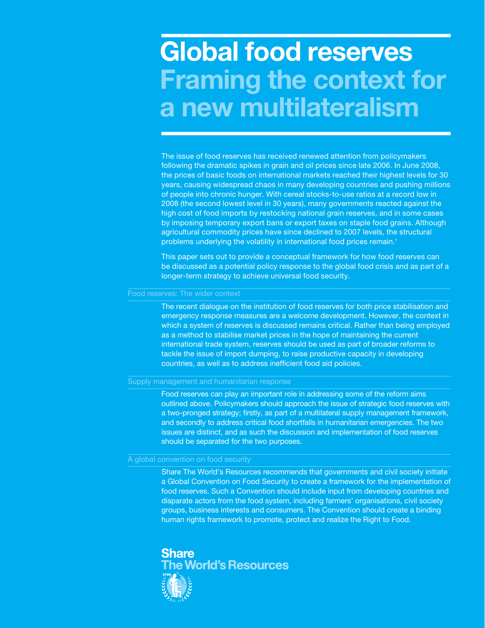# **Global food reserves Framing the context for a new multilateralism**

The issue of food reserves has received renewed attention from policymakers following the dramatic spikes in grain and oil prices since late 2006. In June 2008, the prices of basic foods on international markets reached their highest levels for 30 years, causing widespread chaos in many developing countries and pushing millions of people into chronic hunger. With cereal stocks-to-use ratios at a record low in 2008 (the second lowest level in 30 years), many governments reacted against the high cost of food imports by restocking national grain reserves, and in some cases by imposing temporary export bans or export taxes on staple food grains. Although agricultural commodity prices have since declined to 2007 levels, the structural problems underlying the volatility in international food prices remain.**<sup>1</sup>**

This paper sets out to provide a conceptual framework for how food reserves can be discussed as a potential policy response to the global food crisis and as part of a longer-term strategy to achieve universal food security.

The recent dialogue on the institution of food reserves for both price stabilisation and emergency response measures are a welcome development. However, the context in which a system of reserves is discussed remains critical. Rather than being employed as a method to stabilise market prices in the hope of maintaining the current international trade system, reserves should be used as part of broader reforms to tackle the issue of import dumping, to raise productive capacity in developing countries, as well as to address inefficient food aid policies.

#### Supply management and humanitarian response

Food reserves can play an important role in addressing some of the reform aims outlined above. Policymakers should approach the issue of strategic food reserves with a two-pronged strategy; firstly, as part of a multilateral supply management framework, and secondly to address critical food shortfalls in humanitarian emergencies. The two issues are distinct, and as such the discussion and implementation of food reserves should be separated for the two purposes.

## A global convention on food security

Share The World's Resources recommends that governments and civil society initiate a Global Convention on Food Security to create a framework for the implementation of food reserves. Such a Convention should include input from developing countries and disparate actors from the food system, including farmers' organisations, civil society groups, business interests and consumers. The Convention should create a binding human rights framework to promote, protect and realize the Right to Food.

# Share **e World's Resources**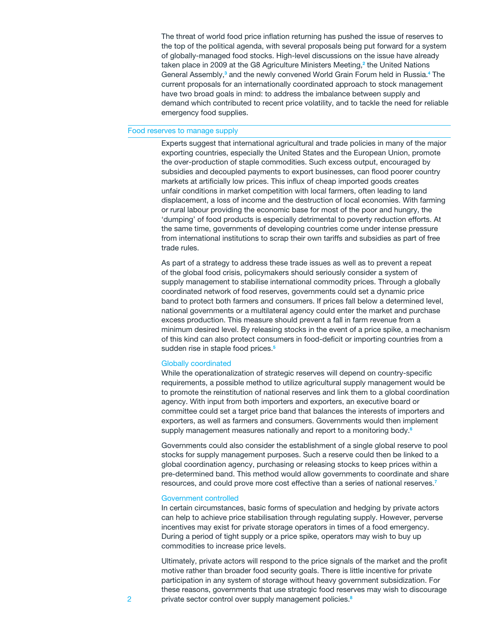The threat of world food price inflation returning has pushed the issue of reserves to the top of the political agenda, with several proposals being put forward for a system of globally-managed food stocks. High-level discussions on the issue have already taken place in 2009 at the G8 Agriculture Ministers Meeting,**<sup>2</sup>** the United Nations General Assembly,<sup>3</sup> and the newly convened World Grain Forum held in Russia.<sup>4</sup> The current proposals for an internationally coordinated approach to stock management have two broad goals in mind: to address the imbalance between supply and demand which contributed to recent price volatility, and to tackle the need for reliable emergency food supplies.

# Food reserves to manage supply

Experts suggest that international agricultural and trade policies in many of the major exporting countries, especially the United States and the European Union, promote the over-production of staple commodities. Such excess output, encouraged by subsidies and decoupled payments to export businesses, can flood poorer country markets at artificially low prices. This influx of cheap imported goods creates unfair conditions in market competition with local farmers, often leading to land displacement, a loss of income and the destruction of local economies. With farming or rural labour providing the economic base for most of the poor and hungry, the 'dumping' of food products is especially detrimental to poverty reduction efforts. At the same time, governments of developing countries come under intense pressure from international institutions to scrap their own tariffs and subsidies as part of free trade rules.

As part of a strategy to address these trade issues as well as to prevent a repeat of the global food crisis, policymakers should seriously consider a system of supply management to stabilise international commodity prices. Through a globally coordinated network of food reserves, governments could set a dynamic price band to protect both farmers and consumers. If prices fall below a determined level, national governments or a multilateral agency could enter the market and purchase excess production. This measure should prevent a fall in farm revenue from a minimum desired level. By releasing stocks in the event of a price spike, a mechanism of this kind can also protect consumers in food-deficit or importing countries from a sudden rise in staple food prices.**<sup>5</sup>**

### Globally coordinated

While the operationalization of strategic reserves will depend on country-specific requirements, a possible method to utilize agricultural supply management would be to promote the reinstitution of national reserves and link them to a global coordination agency. With input from both importers and exporters, an executive board or committee could set a target price band that balances the interests of importers and exporters, as well as farmers and consumers. Governments would then implement supply management measures nationally and report to a monitoring body.**<sup>6</sup>**

Governments could also consider the establishment of a single global reserve to pool stocks for supply management purposes. Such a reserve could then be linked to a global coordination agency, purchasing or releasing stocks to keep prices within a pre-determined band. This method would allow governments to coordinate and share resources, and could prove more cost effective than a series of national reserves.**<sup>7</sup>**

#### Government controlled

In certain circumstances, basic forms of speculation and hedging by private actors can help to achieve price stabilisation through regulating supply. However, perverse incentives may exist for private storage operators in times of a food emergency. During a period of tight supply or a price spike, operators may wish to buy up commodities to increase price levels.

Ultimately, private actors will respond to the price signals of the market and the profit motive rather than broader food security goals. There is little incentive for private participation in any system of storage without heavy government subsidization. For these reasons, governments that use strategic food reserves may wish to discourage private sector control over supply management policies.**8**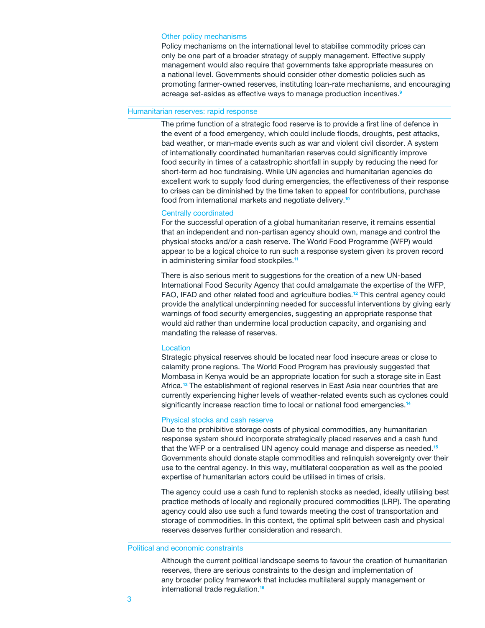#### Other policy mechanisms

Policy mechanisms on the international level to stabilise commodity prices can only be one part of a broader strategy of supply management. Effective supply management would also require that governments take appropriate measures on a national level. Governments should consider other domestic policies such as promoting farmer-owned reserves, instituting loan-rate mechanisms, and encouraging acreage set-asides as effective ways to manage production incentives.**<sup>9</sup>**

#### Humanitarian reserves: rapid response

The prime function of a strategic food reserve is to provide a first line of defence in the event of a food emergency, which could include floods, droughts, pest attacks, bad weather, or man-made events such as war and violent civil disorder. A system of internationally coordinated humanitarian reserves could significantly improve food security in times of a catastrophic shortfall in supply by reducing the need for short-term ad hoc fundraising. While UN agencies and humanitarian agencies do excellent work to supply food during emergencies, the effectiveness of their response to crises can be diminished by the time taken to appeal for contributions, purchase food from international markets and negotiate delivery.**<sup>10</sup>**

#### Centrally coordinated

For the successful operation of a global humanitarian reserve, it remains essential that an independent and non-partisan agency should own, manage and control the physical stocks and/or a cash reserve. The World Food Programme (WFP) would appear to be a logical choice to run such a response system given its proven record in administering similar food stockpiles.**<sup>11</sup>**

There is also serious merit to suggestions for the creation of a new UN-based International Food Security Agency that could amalgamate the expertise of the WFP, FAO, IFAD and other related food and agriculture bodies.**<sup>12</sup>** This central agency could provide the analytical underpinning needed for successful interventions by giving early warnings of food security emergencies, suggesting an appropriate response that would aid rather than undermine local production capacity, and organising and mandating the release of reserves.

#### **Location**

Strategic physical reserves should be located near food insecure areas or close to calamity prone regions. The World Food Program has previously suggested that Mombasa in Kenya would be an appropriate location for such a storage site in East Africa.**<sup>13</sup>** The establishment of regional reserves in East Asia near countries that are currently experiencing higher levels of weather-related events such as cyclones could significantly increase reaction time to local or national food emergencies.**<sup>14</sup>**

#### Physical stocks and cash reserve

Due to the prohibitive storage costs of physical commodities, any humanitarian response system should incorporate strategically placed reserves and a cash fund that the WFP or a centralised UN agency could manage and disperse as needed.**<sup>15</sup>** Governments should donate staple commodities and relinquish sovereignty over their use to the central agency. In this way, multilateral cooperation as well as the pooled expertise of humanitarian actors could be utilised in times of crisis.

The agency could use a cash fund to replenish stocks as needed, ideally utilising best practice methods of locally and regionally procured commodities (LRP). The operating agency could also use such a fund towards meeting the cost of transportation and storage of commodities. In this context, the optimal split between cash and physical reserves deserves further consideration and research.

Political and economic constraints

Although the current political landscape seems to favour the creation of humanitarian reserves, there are serious constraints to the design and implementation of any broader policy framework that includes multilateral supply management or international trade regulation.**16**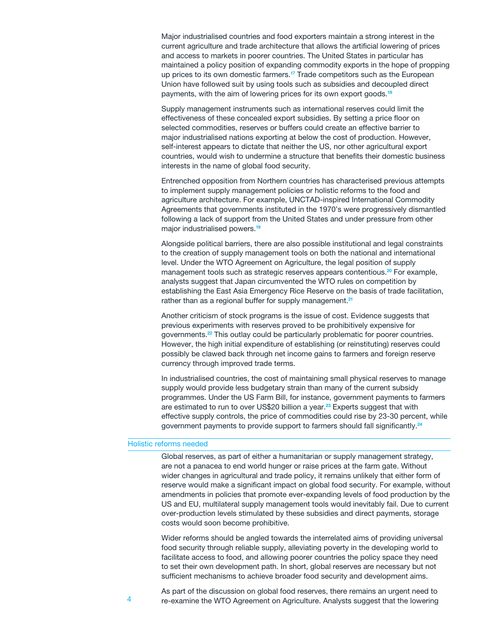Major industrialised countries and food exporters maintain a strong interest in the current agriculture and trade architecture that allows the artificial lowering of prices and access to markets in poorer countries. The United States in particular has maintained a policy position of expanding commodity exports in the hope of propping up prices to its own domestic farmers.**<sup>17</sup>** Trade competitors such as the European Union have followed suit by using tools such as subsidies and decoupled direct payments, with the aim of lowering prices for its own export goods.**<sup>18</sup>**

Supply management instruments such as international reserves could limit the effectiveness of these concealed export subsidies. By setting a price floor on selected commodities, reserves or buffers could create an effective barrier to major industrialised nations exporting at below the cost of production. However, self-interest appears to dictate that neither the US, nor other agricultural export countries, would wish to undermine a structure that benefits their domestic business interests in the name of global food security.

Entrenched opposition from Northern countries has characterised previous attempts to implement supply management policies or holistic reforms to the food and agriculture architecture. For example, UNCTAD-inspired International Commodity Agreements that governments instituted in the 1970's were progressively dismantled following a lack of support from the United States and under pressure from other major industrialised powers.**<sup>19</sup>**

Alongside political barriers, there are also possible institutional and legal constraints to the creation of supply management tools on both the national and international level. Under the WTO Agreement on Agriculture, the legal position of supply management tools such as strategic reserves appears contentious.**<sup>20</sup>** For example, analysts suggest that Japan circumvented the WTO rules on competition by establishing the East Asia Emergency Rice Reserve on the basis of trade facilitation, rather than as a regional buffer for supply management.**<sup>21</sup>**

Another criticism of stock programs is the issue of cost. Evidence suggests that previous experiments with reserves proved to be prohibitively expensive for governments.**<sup>22</sup>** This outlay could be particularly problematic for poorer countries. However, the high initial expenditure of establishing (or reinstituting) reserves could possibly be clawed back through net income gains to farmers and foreign reserve currency through improved trade terms.

In industrialised countries, the cost of maintaining small physical reserves to manage supply would provide less budgetary strain than many of the current subsidy programmes. Under the US Farm Bill, for instance, government payments to farmers are estimated to run to over US\$20 billion a year.**<sup>23</sup>** Experts suggest that with effective supply controls, the price of commodities could rise by 23-30 percent, while government payments to provide support to farmers should fall significantly.**<sup>24</sup>**

### Holistic reforms needed

Global reserves, as part of either a humanitarian or supply management strategy, are not a panacea to end world hunger or raise prices at the farm gate. Without wider changes in agricultural and trade policy, it remains unlikely that either form of reserve would make a significant impact on global food security. For example, without amendments in policies that promote ever-expanding levels of food production by the US and EU, multilateral supply management tools would inevitably fail. Due to current over-production levels stimulated by these subsidies and direct payments, storage costs would soon become prohibitive.

Wider reforms should be angled towards the interrelated aims of providing universal food security through reliable supply, alleviating poverty in the developing world to facilitate access to food, and allowing poorer countries the policy space they need to set their own development path. In short, global reserves are necessary but not sufficient mechanisms to achieve broader food security and development aims.

4

As part of the discussion on global food reserves, there remains an urgent need to re-examine the WTO Agreement on Agriculture. Analysts suggest that the lowering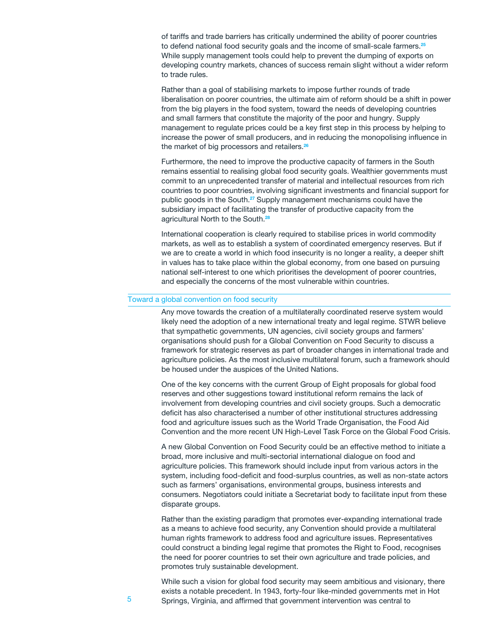of tariffs and trade barriers has critically undermined the ability of poorer countries to defend national food security goals and the income of small-scale farmers.**<sup>25</sup>** While supply management tools could help to prevent the dumping of exports on developing country markets, chances of success remain slight without a wider reform to trade rules.

Rather than a goal of stabilising markets to impose further rounds of trade liberalisation on poorer countries, the ultimate aim of reform should be a shift in power from the big players in the food system, toward the needs of developing countries and small farmers that constitute the majority of the poor and hungry. Supply management to regulate prices could be a key first step in this process by helping to increase the power of small producers, and in reducing the monopolising influence in the market of big processors and retailers.**<sup>26</sup>**

Furthermore, the need to improve the productive capacity of farmers in the South remains essential to realising global food security goals. Wealthier governments must commit to an unprecedented transfer of material and intellectual resources from rich countries to poor countries, involving significant investments and financial support for public goods in the South.**<sup>27</sup>** Supply management mechanisms could have the subsidiary impact of facilitating the transfer of productive capacity from the agricultural North to the South.**<sup>28</sup>**

International cooperation is clearly required to stabilise prices in world commodity markets, as well as to establish a system of coordinated emergency reserves. But if we are to create a world in which food insecurity is no longer a reality, a deeper shift in values has to take place within the global economy, from one based on pursuing national self-interest to one which prioritises the development of poorer countries, and especially the concerns of the most vulnerable within countries.

### Toward a global convention on food security

Any move towards the creation of a multilaterally coordinated reserve system would likely need the adoption of a new international treaty and legal regime. STWR believe that sympathetic governments, UN agencies, civil society groups and farmers' organisations should push for a Global Convention on Food Security to discuss a framework for strategic reserves as part of broader changes in international trade and agriculture policies. As the most inclusive multilateral forum, such a framework should be housed under the auspices of the United Nations.

One of the key concerns with the current Group of Eight proposals for global food reserves and other suggestions toward institutional reform remains the lack of involvement from developing countries and civil society groups. Such a democratic deficit has also characterised a number of other institutional structures addressing food and agriculture issues such as the World Trade Organisation, the Food Aid Convention and the more recent UN High-Level Task Force on the Global Food Crisis.

A new Global Convention on Food Security could be an effective method to initiate a broad, more inclusive and multi-sectorial international dialogue on food and agriculture policies. This framework should include input from various actors in the system, including food-deficit and food-surplus countries, as well as non-state actors such as farmers' organisations, environmental groups, business interests and consumers. Negotiators could initiate a Secretariat body to facilitate input from these disparate groups.

Rather than the existing paradigm that promotes ever-expanding international trade as a means to achieve food security, any Convention should provide a multilateral human rights framework to address food and agriculture issues. Representatives could construct a binding legal regime that promotes the Right to Food, recognises the need for poorer countries to set their own agriculture and trade policies, and promotes truly sustainable development.

While such a vision for global food security may seem ambitious and visionary, there exists a notable precedent. In 1943, forty-four like-minded governments met in Hot Springs, Virginia, and affirmed that government intervention was central to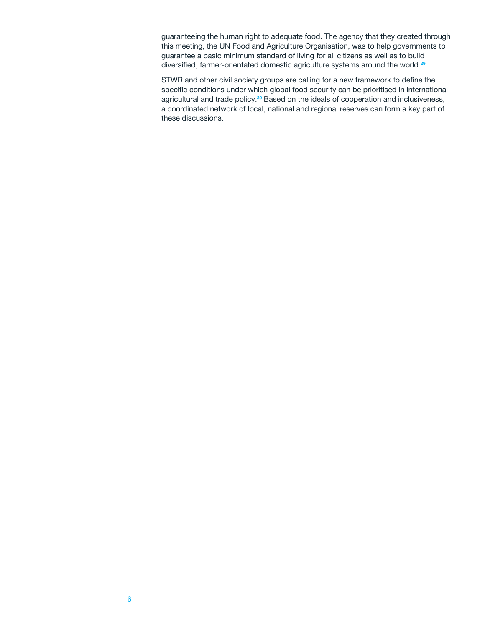guaranteeing the human right to adequate food. The agency that they created through this meeting, the UN Food and Agriculture Organisation, was to help governments to guarantee a basic minimum standard of living for all citizens as well as to build diversified, farmer-orientated domestic agriculture systems around the world.**<sup>29</sup>**

STWR and other civil society groups are calling for a new framework to define the specific conditions under which global food security can be prioritised in international agricultural and trade policy.**<sup>30</sup>** Based on the ideals of cooperation and inclusiveness, a coordinated network of local, national and regional reserves can form a key part of these discussions.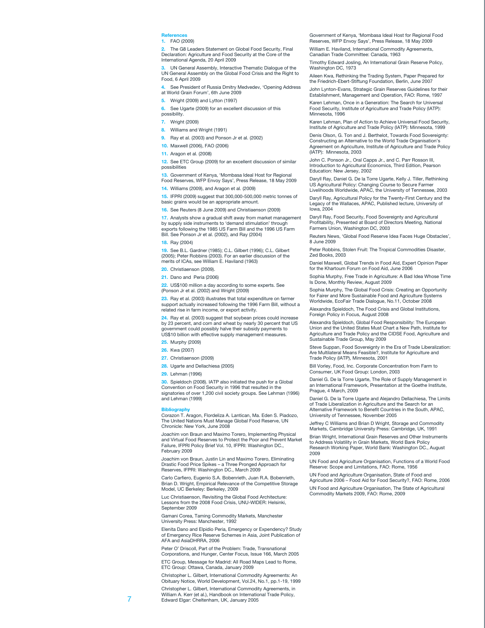#### **References**

#### **1.** FAO (2009)

**2.** The G8 Leaders Statement on Global Food Security, Final Declaration: Agriculture and Food Security at the Core of the International Agenda, 20 April 2009

**3.** UN General Assembly, Interactive Thematic Dialogue of the UN General Assembly on the Global Food Crisis and the Right to Food, 6 April 2009

**4.** See President of Russia Dmitry Medvedev, 'Opening Address at World Grain Forum', 6th June 2009

**5.** Wright (2009) and Lytton (1997)

**6.** See Ugarte (2009) for an excellent discussion of this possibility.

**7.** Wright (2009)

**8.** Williams and Wright (1991)

**9.** Ray et al. (2003) and Ponson Jr et al. (2002)

**10.** Maxwell (2006), FAO (2006)

**11.** Aragon et al. (2008)

**12.** See ETC Group (2009) for an excellent discussion of similar possibilitie

**13.** Government of Kenya, 'Mombasa Ideal Host for Regional Food Reserves, WFP Envoy Says', Press Release, 18 May 2009

**14.** Williams (2009), and Aragon et al. (2009)

**15.** IFPRI (2009) suggest that 300,000-500,000 metric tonnes of basic grains would be an appropriate amount.

**16.** See Reuters (8 June 2009) and Christiaenson (2009)

**17.** Analysts show a gradual shift away from market management by supply side instruments to 'demand stimulation' through exports following the 1985 US Farm Bill and the 1996 US Farm Bill. See Ponson Jr et al. (2002), and Ray (2004)

**18.** Ray (2004)

**19.** See B.L. Gardner (1985); C.L. Gilbert (1996); C.L. Gilbert (2005); Peter Robbins (2003). For an earlier discussion of the merits of ICAs, see William E. Haviland (1963)

**20.** Christiaenson (2009).

**21.** Dano and Peria (2006)

**22.** US\$100 million a day according to some experts. See (Ponson Jr et al. (2002) and Wright (2009)

**23.** Ray et al. (2003) illustrates that total expenditure on farmer support actually increased following the 1996 Farm Bill, without a related rise in farm income, or export activity.

**24.** Ray et al. (2003) suggest that soybean prices could increase by 23 percent, and corn and wheat by nearly 30 percent that US government could possibly halve their subsidy payments to US\$10 billion with effective supply management measures.

- **25.** Murphy (2009)
- **26.** Kwa (2007)
- **27.** Christiaenson (2009)
- **28.** Ugarte and Dellachiesa (2005)

**29.** Lehman (1996)

**30.** Spieldoch (2008). IATP also initiated the push for a Global Convention on Food Security in 1996 that resulted in the signatories of over 1,200 civil society groups. See Lehman (1996) and Lehman (1999)

**Bibliography** Corazon T. Aragon, Flordeliza A. Lantican, Ma. Eden S. Piadozo, The United Nations Must Manage Global Food Reserve, UN Chronicle: New York, June 2008

Joachim von Braun and Maximo Torero, Implementing Physical and Virtual Food Reserves to Protect the Poor and Prevent Market Failure, IFPRI Policy Brief Vol. 10, IFPRI: Washington DC., February 2009

Joachim von Braun, Justin Lin and Maximo Torero, Eliminating Drastic Food Price Spikes – a Three Pronged Approach for Reserves, IFPRI: Washington DC., March 2009

Carlo Carfiero, Eugenio S.A. Bobenrieth, Juan R.A. Bobenrieth, Brian D. Wright, Empirical Relevance of the Competitive Storage Model, UC Berkeley: Berkeley, 2009

Luc Christiaenson, Revisiting the Global Food Architecture: Lessons from the 2008 Food Crisis, UNU-WIDER: Helsinki, September 2009

Gamani Corea, Taming Commodity Markets, Manchester University Press: Manchester, 1992

Elenita Dano and Elpidio Peria, Emergency or Expendency? Study of Emergency Rice Reserve Schemes in Asia, Joint Publication of AFA and AsiaDHRRA, 2006

Peter O' Driscoll, Part of the Problem: Trade, Transnational Corporations, and Hunger, Center Focus, Issue 166, March 2005 ETC Group, Message for Madrid: All Road Maps Lead to Rome, ETC Group: Ottawa, Canada, January 2009

Christopher L. Gilbert, International Commodity Agreements: An Obituary Notice, World Development, Vol.24, No.1, pp.1-19, 1999

Christopher L. Gilbert, International Commodity Agreements, in William A. Kerr (et al.), Handbook on International Trade Policy, Edward Elgar: Cheltenham, UK, January 2005

Government of Kenya, 'Mombasa Ideal Host for Regional Food Reserves, WFP Envoy Says', Press Release, 18 May 2009

William E. Haviland, International Commodity Agreements, Canadian Trade Committee: Canada, 1963

Timothy Edward Josling, An International Grain Reserve Policy, Washington DC, 1973

Aileen Kwa, Rethinking the Trading System, Paper Prepared for the Friedrich-Ebert-Stiftung Foundation, Berlin, June 2007 John Lynton-Evans, Strategic Grain Reserves Guidelines for their Establishment, Management and Operation, FAO: Rome, 1997 Karen Lehman, Once in a Generation: The Search for Universal Food Security, Institute of Agriculture and Trade Policy (IATP):

Minnesota, 1996 Karen Lehman, Plan of Action to Achieve Universal Food Security, Institute of Agriculture and Trade Policy (IATP): Minnesota, 1999

Denis Olson, G. Ton and J. Berthelot, Towards Food Sovereignty: Constructing an Alternative to the World Trade Organisation's Agreement on Agriculture, Institute of Agriculture and Trade Policy (IATP): Minnesota, 2003

John C. Ponson Jr., Oral Capps Jr., and C. Parr Rosson III, Introduction to Agricultural Economics, Third Edition, Pearson Education: New Jersey, 2002

Daryll Ray, Daniel G. De la Torre Ugarte, Kelly J. Tiller, Rethinking US Agricultural Policy: Changing Course to Secure Farmer Livelihoods Worldwide, APAC, the University of Tennessee, 2003

Daryll Ray, Agricultural Policy for the Twenty-First Century and the Legacy of the Wallaces, APAC, Published lecture, University of Iowa, 2004

Daryll Ray, Food Security, Food Sovereignty and Agricultural Profitability, Presented at Board of Directors Meeting, National Farmers Union, Washington DC, 2003

Reuters News, 'Global Food Reserve Idea Faces Huge Obstacles', 8 June 2009

Peter Robbins, Stolen Fruit: The Tropical Commodities Disaster, Zed Books, 2003

Daniel Maxwell, Global Trends in Food Aid, Expert Opinion Paper for the Khartoum Forum on Food Aid, June 2006

Sophia Murphy, Free Trade in Agriculture: A Bad Idea Whose Time Is Done, Monthly Review, August 2009

Sophia Murphy, The Global Food Crisis: Creating an Opportunity for Fairer and More Sustainable Food and Agriculture Systems Worldwide, EcoFair Trade Dialogue, No.11, October 2008

Alexandra Spieldoch, The Food Crisis and Global Institutions, Foreign Policy in Focus, August 2008

Alexandra Spieldoch, Global Food Responsibility: The European Union and the United States Must Chart a New Path, Institute for Agriculture and Trade Policy and the CIDSE Food, Agriculture and ,<br>Istainable Trade Group, May 2009

Steve Suppan, Food Sovereignty in the Era of Trade Liberalization: Are Multilateral Means Feasible?, Institute for Agriculture and Trade Policy (IATP), Minnesota, 2001

Bill Vorley, Food, Inc. Corporate Concentration from Farm to Consumer, UK Food Group: London, 2003

Daniel G. De la Torre Ugarte, The Role of Supply Management in an International Framework, Presentation at the Goethe Institute, Prague, 4 March, 2009

Daniel G. De la Torre Ugarte and Alejandro Dellachiesa, The Limits of Trade Liberalization in Agriculture and the Search for an Alternative Framework to Benefit Countries in the South, APAC, University of Tennessee, November 2005

Jeffrey C Williams and Brian D Wright, Storage and Commodity Markets, Cambridge University Press: Cambridge, UK, 1991

Brian Wright, International Grain Reserves and Other Instruments to Address Volatility in Grain Markets, World Bank Policy Research Working Paper, World Bank: Washington DC., August 2009

UN Food and Agriculture Organisation, Functions of a World Food Reserve: Scope and Limitations, FAO: Rome, 1956

UN Food and Agriculture Organisation, State of Food and Agriculture 2006 – Food Aid for Food Security?, FAO: Rome, 2006 UN Food and Agriculture Organisation, The State of Agricultural Commodity Markets 2009, FAO: Rome, 2009